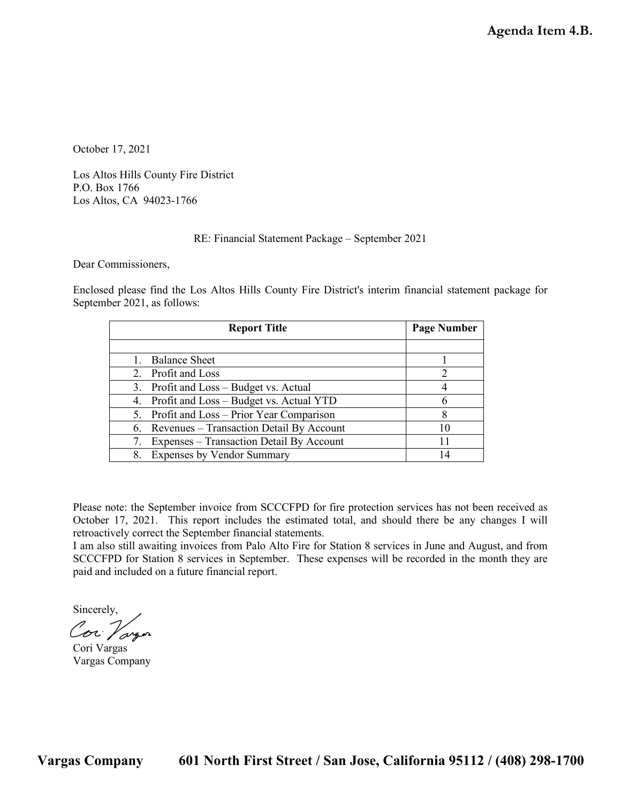October 17, 2021

Los Altos Hills County Fire District P.O. Box 1766 Los Altos, CA 94023-1766

#### RE: Financial Statement Package – September 2021

Dear Commissioners,

Enclosed please find the Los Altos Hills County Fire District's interim financial statement package for September 2021, as follows:

| <b>Report Title</b>                         |    |  |
|---------------------------------------------|----|--|
|                                             |    |  |
| Balance Sheet                               |    |  |
| 2. Profit and Loss                          |    |  |
| 3. Profit and Loss – Budget vs. Actual      |    |  |
| 4. Profit and Loss – Budget vs. Actual YTD  |    |  |
| 5. Profit and Loss – Prior Year Comparison  |    |  |
| 6. Revenues – Transaction Detail By Account | 10 |  |
| 7. Expenses – Transaction Detail By Account |    |  |
| 8. Expenses by Vendor Summary               |    |  |

Please note: the September invoice from SCCCFPD for fire protection services has not been received as October 17, 2021. This report includes the estimated total, and should there be any changes I will retroactively correct the September financial statements.

I am also still awaiting invoices from Palo Alto Fire for Station 8 services in June and August, and from SCCCFPD for Station 8 services in September. These expenses will be recorded in the month they are paid and included on a future financial report.

Sincerely, Cor Vargon

Cori Vargas Vargas Company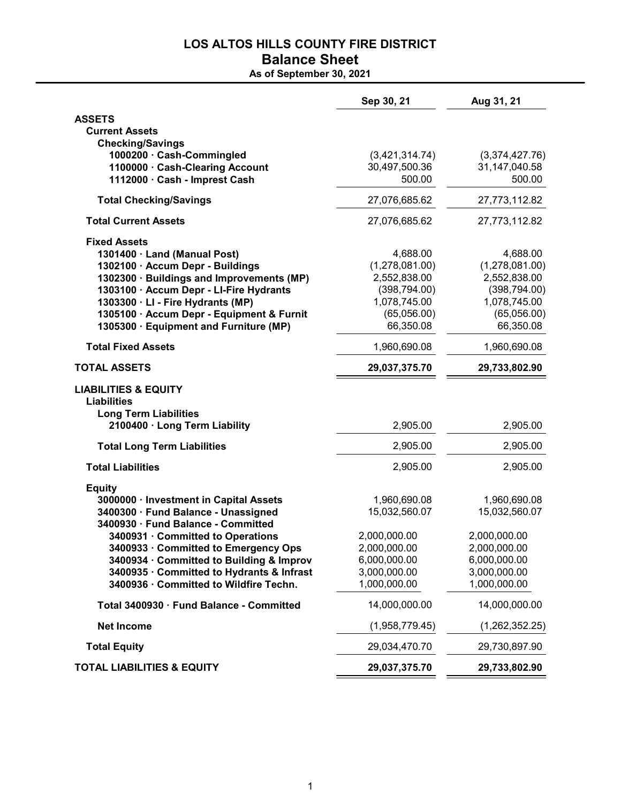### LOS ALTOS HILLS COUNTY FIRE DISTRICT Balance Sheet

As of September 30, 2021

|                                                              | Sep 30, 21                      | Aug 31, 21                      |
|--------------------------------------------------------------|---------------------------------|---------------------------------|
| <b>ASSETS</b>                                                |                                 |                                 |
| <b>Current Assets</b>                                        |                                 |                                 |
| <b>Checking/Savings</b>                                      |                                 |                                 |
| 1000200 · Cash-Commingled<br>1100000 · Cash-Clearing Account | (3,421,314.74)<br>30,497,500.36 | (3,374,427.76)<br>31,147,040.58 |
| 1112000 · Cash - Imprest Cash                                | 500.00                          | 500.00                          |
| <b>Total Checking/Savings</b>                                | 27,076,685.62                   | 27,773,112.82                   |
| <b>Total Current Assets</b>                                  | 27,076,685.62                   | 27,773,112.82                   |
| <b>Fixed Assets</b>                                          |                                 |                                 |
| 1301400 · Land (Manual Post)                                 | 4,688.00                        | 4,688.00                        |
| 1302100 · Accum Depr - Buildings                             | (1,278,081.00)                  | (1,278,081.00)                  |
| 1302300 · Buildings and Improvements (MP)                    | 2,552,838.00                    | 2,552,838.00                    |
| 1303100 · Accum Depr - LI-Fire Hydrants                      | (398, 794.00)                   | (398, 794.00)                   |
| 1303300 · LI - Fire Hydrants (MP)                            | 1,078,745.00                    | 1,078,745.00                    |
| 1305100 · Accum Depr - Equipment & Furnit                    | (65,056.00)                     | (65,056.00)                     |
| 1305300 · Equipment and Furniture (MP)                       | 66,350.08                       | 66,350.08                       |
| <b>Total Fixed Assets</b>                                    | 1,960,690.08                    | 1,960,690.08                    |
| <b>TOTAL ASSETS</b>                                          | 29,037,375.70                   | 29,733,802.90                   |
| <b>LIABILITIES &amp; EQUITY</b>                              |                                 |                                 |
| <b>Liabilities</b>                                           |                                 |                                 |
| <b>Long Term Liabilities</b>                                 |                                 |                                 |
| 2100400 · Long Term Liability                                | 2,905.00                        | 2,905.00                        |
| <b>Total Long Term Liabilities</b>                           | 2,905.00                        | 2,905.00                        |
| <b>Total Liabilities</b>                                     | 2,905.00                        | 2,905.00                        |
| <b>Equity</b>                                                |                                 |                                 |
| 3000000 · Investment in Capital Assets                       | 1,960,690.08                    | 1,960,690.08                    |
| 3400300 · Fund Balance - Unassigned                          | 15,032,560.07                   | 15,032,560.07                   |
| 3400930 · Fund Balance - Committed                           |                                 |                                 |
| 3400931 · Committed to Operations                            | 2,000,000.00                    | 2,000,000.00                    |
| 3400933 · Committed to Emergency Ops                         | 2,000,000.00                    | 2,000,000.00                    |
| 3400934 · Committed to Building & Improv                     | 6,000,000.00                    | 6,000,000.00                    |
| 3400935 · Committed to Hydrants & Infrast                    | 3,000,000.00                    | 3,000,000.00                    |
| 3400936 · Committed to Wildfire Techn.                       | 1,000,000.00                    | 1,000,000.00                    |
| Total 3400930 · Fund Balance - Committed                     | 14,000,000.00                   | 14,000,000.00                   |
| <b>Net Income</b>                                            | (1,958,779.45)                  | (1,262,352.25)                  |
| <b>Total Equity</b>                                          | 29,034,470.70                   | 29,730,897.90                   |
| <b>TOTAL LIABILITIES &amp; EQUITY</b>                        | 29,037,375.70                   | 29,733,802.90                   |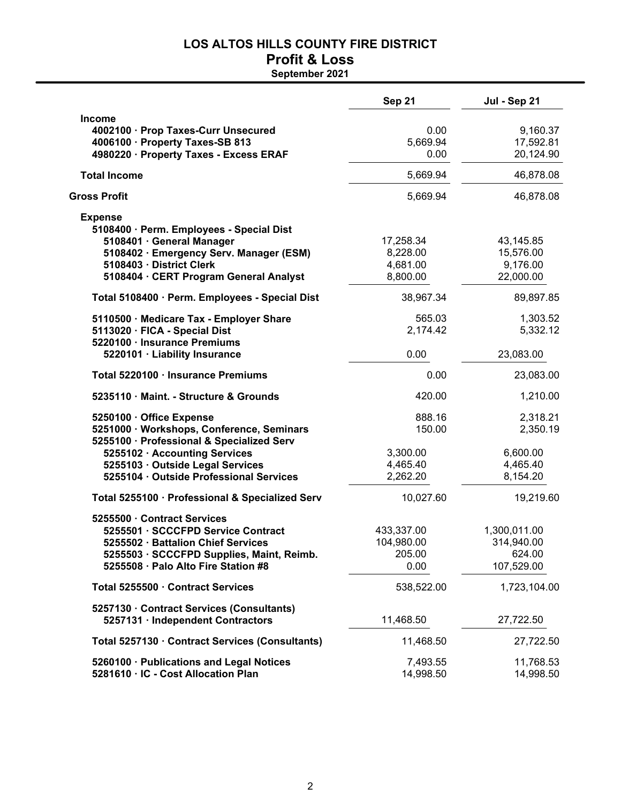# **LOS ALTOS HILLS COUNTY FIRE DISTRICT**

### **Profit & Loss September 2021**

|                                                                                                                                                                                                                                    | <b>Sep 21</b>                                        | Jul - Sep 21                                             |
|------------------------------------------------------------------------------------------------------------------------------------------------------------------------------------------------------------------------------------|------------------------------------------------------|----------------------------------------------------------|
| <b>Income</b><br>4002100 · Prop Taxes-Curr Unsecured<br>4006100 · Property Taxes-SB 813<br>4980220 · Property Taxes - Excess ERAF                                                                                                  | 0.00<br>5,669.94<br>0.00                             | 9,160.37<br>17,592.81<br>20,124.90                       |
| <b>Total Income</b>                                                                                                                                                                                                                | 5,669.94                                             | 46,878.08                                                |
| <b>Gross Profit</b>                                                                                                                                                                                                                | 5,669.94                                             | 46,878.08                                                |
| <b>Expense</b><br>5108400 · Perm. Employees - Special Dist<br>5108401 · General Manager<br>5108402 · Emergency Serv. Manager (ESM)<br>5108403 · District Clerk<br>5108404 · CERT Program General Analyst                           | 17,258.34<br>8,228.00<br>4,681.00<br>8,800.00        | 43,145.85<br>15,576.00<br>9,176.00<br>22,000.00          |
| Total 5108400 · Perm. Employees - Special Dist                                                                                                                                                                                     | 38,967.34                                            | 89,897.85                                                |
| 5110500 · Medicare Tax - Employer Share<br>5113020 · FICA - Special Dist<br>5220100 · Insurance Premiums<br>5220101 · Liability Insurance                                                                                          | 565.03<br>2,174.42<br>0.00                           | 1,303.52<br>5,332.12<br>23,083.00                        |
| Total 5220100 · Insurance Premiums                                                                                                                                                                                                 | 0.00                                                 | 23,083.00                                                |
| 5235110 · Maint. - Structure & Grounds                                                                                                                                                                                             | 420.00                                               | 1,210.00                                                 |
| 5250100 · Office Expense<br>5251000 · Workshops, Conference, Seminars<br>5255100 · Professional & Specialized Serv<br>5255102 · Accounting Services<br>5255103 · Outside Legal Services<br>5255104 · Outside Professional Services | 888.16<br>150.00<br>3,300.00<br>4,465.40<br>2,262.20 | 2,318.21<br>2,350.19<br>6,600.00<br>4,465.40<br>8,154.20 |
| Total 5255100 · Professional & Specialized Serv                                                                                                                                                                                    | 10,027.60                                            | 19,219.60                                                |
| 5255500 · Contract Services<br>5255501 · SCCCFPD Service Contract<br>5255502 · Battalion Chief Services<br>5255503 · SCCCFPD Supplies, Maint, Reimb.<br>5255508 · Palo Alto Fire Station #8                                        | 433,337.00<br>104,980.00<br>205.00<br>0.00           | 1,300,011.00<br>314,940.00<br>624.00<br>107,529.00       |
| Total 5255500 · Contract Services                                                                                                                                                                                                  | 538,522.00                                           | 1,723,104.00                                             |
| 5257130 · Contract Services (Consultants)<br>5257131 · Independent Contractors                                                                                                                                                     | 11,468.50                                            | 27,722.50                                                |
| Total 5257130 · Contract Services (Consultants)                                                                                                                                                                                    | 11,468.50                                            | 27,722.50                                                |
| 5260100 · Publications and Legal Notices<br>5281610 · IC - Cost Allocation Plan                                                                                                                                                    | 7,493.55<br>14,998.50                                | 11,768.53<br>14,998.50                                   |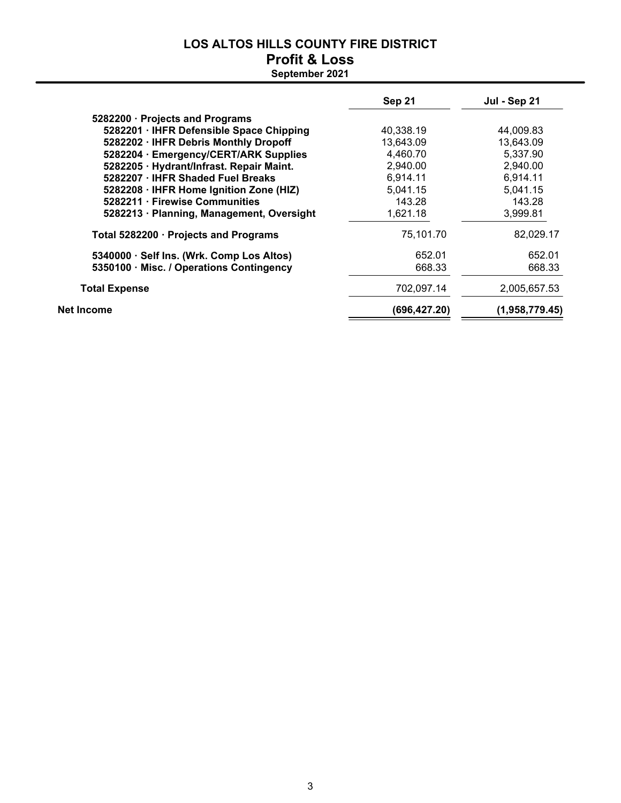# **LOS ALTOS HILLS COUNTY FIRE DISTRICT Profit & Loss**

|                                           | Sep 21       | <b>Jul - Sep 21</b> |
|-------------------------------------------|--------------|---------------------|
| 5282200 · Projects and Programs           |              |                     |
| 5282201 · IHFR Defensible Space Chipping  | 40,338.19    | 44,009.83           |
| 5282202 · IHFR Debris Monthly Dropoff     | 13,643.09    | 13,643.09           |
| 5282204 · Emergency/CERT/ARK Supplies     | 4,460.70     | 5.337.90            |
| 5282205 · Hydrant/Infrast. Repair Maint.  | 2,940.00     | 2,940.00            |
| 5282207 · IHFR Shaded Fuel Breaks         | 6,914.11     | 6,914.11            |
| 5282208 · IHFR Home Ignition Zone (HIZ)   | 5,041.15     | 5,041.15            |
| 5282211 · Firewise Communities            | 143.28       | 143.28              |
| 5282213 · Planning, Management, Oversight | 1,621.18     | 3,999.81            |
| Total 5282200 · Projects and Programs     | 75,101.70    | 82,029.17           |
| 5340000 · Self Ins. (Wrk. Comp Los Altos) | 652.01       | 652.01              |
| 5350100 · Misc. / Operations Contingency  | 668.33       | 668.33              |
| <b>Total Expense</b>                      | 702.097.14   | 2,005,657.53        |
| Net Income                                | (696,427.20) | (1,958,779.45)      |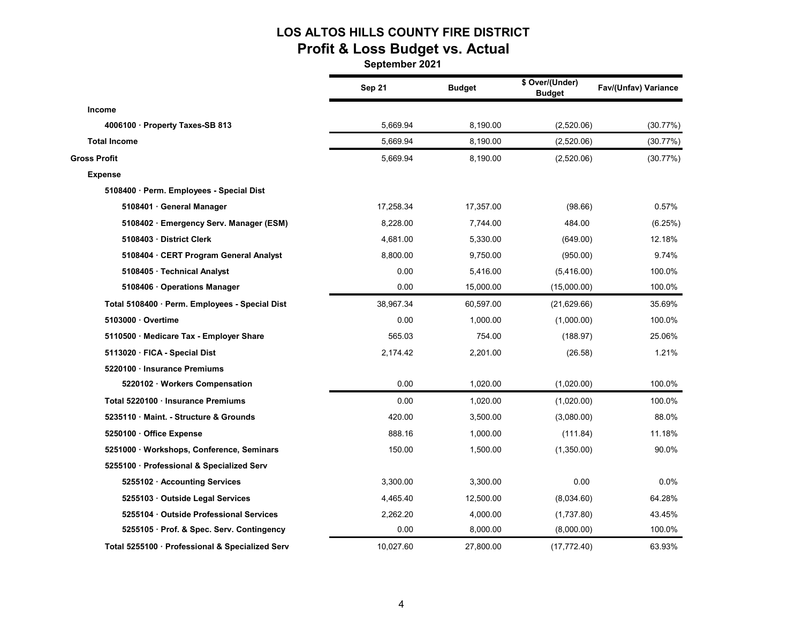# **LOS ALTOS HILLS COUNTY FIRE DISTRICT Profit & Loss Budget vs. Actual**

|                                                 | Sep 21    | <b>Budget</b> | \$ Over/(Under)<br><b>Budget</b> | Fav/(Unfav) Variance |
|-------------------------------------------------|-----------|---------------|----------------------------------|----------------------|
| <b>Income</b>                                   |           |               |                                  |                      |
| 4006100 · Property Taxes-SB 813                 | 5,669.94  | 8,190.00      | (2,520.06)                       | (30.77%)             |
| <b>Total Income</b>                             | 5.669.94  | 8,190.00      | (2,520.06)                       | (30.77%)             |
| <b>Gross Profit</b>                             | 5,669.94  | 8,190.00      | (2,520.06)                       | (30.77%)             |
| <b>Expense</b>                                  |           |               |                                  |                      |
| 5108400 · Perm. Employees - Special Dist        |           |               |                                  |                      |
| 5108401 · General Manager                       | 17,258.34 | 17,357.00     | (98.66)                          | 0.57%                |
| 5108402 · Emergency Serv. Manager (ESM)         | 8,228.00  | 7,744.00      | 484.00                           | (6.25%)              |
| 5108403 District Clerk                          | 4,681.00  | 5,330.00      | (649.00)                         | 12.18%               |
| 5108404 · CERT Program General Analyst          | 8,800.00  | 9,750.00      | (950.00)                         | 9.74%                |
| 5108405 · Technical Analyst                     | 0.00      | 5,416.00      | (5,416.00)                       | 100.0%               |
| 5108406 · Operations Manager                    | 0.00      | 15,000.00     | (15,000.00)                      | 100.0%               |
| Total 5108400 · Perm. Employees - Special Dist  | 38,967.34 | 60,597.00     | (21, 629.66)                     | 35.69%               |
| 5103000 Overtime                                | 0.00      | 1,000.00      | (1,000.00)                       | 100.0%               |
| 5110500 · Medicare Tax - Employer Share         | 565.03    | 754.00        | (188.97)                         | 25.06%               |
| 5113020 · FICA - Special Dist                   | 2,174.42  | 2,201.00      | (26.58)                          | 1.21%                |
| 5220100 · Insurance Premiums                    |           |               |                                  |                      |
| 5220102 · Workers Compensation                  | 0.00      | 1,020.00      | (1,020.00)                       | 100.0%               |
| Total 5220100 · Insurance Premiums              | 0.00      | 1,020.00      | (1,020.00)                       | 100.0%               |
| 5235110 Maint. - Structure & Grounds            | 420.00    | 3,500.00      | (3,080.00)                       | 88.0%                |
| 5250100 · Office Expense                        | 888.16    | 1,000.00      | (111.84)                         | 11.18%               |
| 5251000 · Workshops, Conference, Seminars       | 150.00    | 1,500.00      | (1,350.00)                       | 90.0%                |
| 5255100 · Professional & Specialized Serv       |           |               |                                  |                      |
| 5255102 · Accounting Services                   | 3,300.00  | 3,300.00      | 0.00                             | 0.0%                 |
| 5255103 Outside Legal Services                  | 4,465.40  | 12,500.00     | (8,034.60)                       | 64.28%               |
| 5255104 Outside Professional Services           | 2,262.20  | 4,000.00      | (1,737.80)                       | 43.45%               |
| 5255105 · Prof. & Spec. Serv. Contingency       | 0.00      | 8,000.00      | (8,000.00)                       | 100.0%               |
| Total 5255100 · Professional & Specialized Serv | 10,027.60 | 27.800.00     | (17, 772.40)                     | 63.93%               |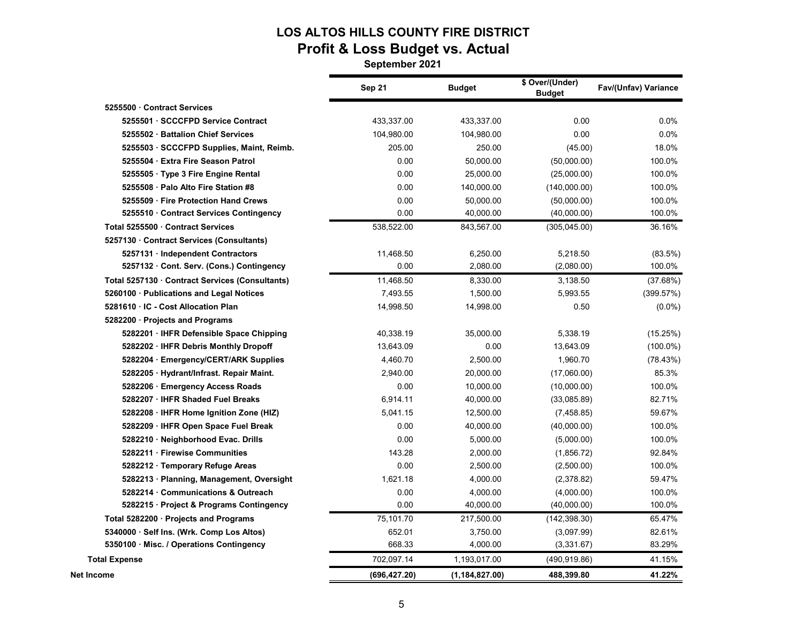# **LOS ALTOS HILLS COUNTY FIRE DISTRICT Profit & Loss Budget vs. Actual**

|                                                 | Sep 21       | <b>Budget</b>  | \$ Over/(Under)<br><b>Budget</b> | Fav/(Unfav) Variance |
|-------------------------------------------------|--------------|----------------|----------------------------------|----------------------|
| 5255500 Contract Services                       |              |                |                                  |                      |
| 5255501 SCCCFPD Service Contract                | 433,337.00   | 433,337.00     | 0.00                             | 0.0%                 |
| 5255502 · Battalion Chief Services              | 104,980.00   | 104,980.00     | 0.00                             | 0.0%                 |
| 5255503 · SCCCFPD Supplies, Maint, Reimb.       | 205.00       | 250.00         | (45.00)                          | 18.0%                |
| 5255504 · Extra Fire Season Patrol              | 0.00         | 50,000.00      | (50,000.00)                      | 100.0%               |
| 5255505 · Type 3 Fire Engine Rental             | 0.00         | 25,000.00      | (25,000.00)                      | 100.0%               |
| 5255508 · Palo Alto Fire Station #8             | 0.00         | 140,000.00     | (140,000.00)                     | 100.0%               |
| 5255509 · Fire Protection Hand Crews            | 0.00         | 50,000.00      | (50,000.00)                      | 100.0%               |
| 5255510 Contract Services Contingency           | 0.00         | 40,000.00      | (40,000.00)                      | 100.0%               |
| Total 5255500 Contract Services                 | 538,522.00   | 843,567.00     | (305,045.00)                     | 36.16%               |
| 5257130 Contract Services (Consultants)         |              |                |                                  |                      |
| 5257131 · Independent Contractors               | 11,468.50    | 6,250.00       | 5,218.50                         | (83.5%)              |
| 5257132 Cont. Serv. (Cons.) Contingency         | 0.00         | 2,080.00       | (2,080.00)                       | 100.0%               |
| Total 5257130 · Contract Services (Consultants) | 11,468.50    | 8,330.00       | 3,138.50                         | (37.68%)             |
| 5260100 · Publications and Legal Notices        | 7,493.55     | 1,500.00       | 5,993.55                         | (399.57%)            |
| 5281610 · IC - Cost Allocation Plan             | 14,998.50    | 14,998.00      | 0.50                             | $(0.0\%)$            |
| 5282200 · Projects and Programs                 |              |                |                                  |                      |
| 5282201 · IHFR Defensible Space Chipping        | 40,338.19    | 35,000.00      | 5,338.19                         | (15.25%)             |
| 5282202 · IHFR Debris Monthly Dropoff           | 13,643.09    | 0.00           | 13,643.09                        | $(100.0\%)$          |
| 5282204 · Emergency/CERT/ARK Supplies           | 4,460.70     | 2,500.00       | 1,960.70                         | (78.43%)             |
| 5282205 · Hydrant/Infrast. Repair Maint.        | 2,940.00     | 20,000.00      | (17,060.00)                      | 85.3%                |
| 5282206 · Emergency Access Roads                | 0.00         | 10,000.00      | (10,000.00)                      | 100.0%               |
| 5282207 · IHFR Shaded Fuel Breaks               | 6,914.11     | 40,000.00      | (33,085.89)                      | 82.71%               |
| 5282208 · IHFR Home Ignition Zone (HIZ)         | 5,041.15     | 12,500.00      | (7,458.85)                       | 59.67%               |
| 5282209 · IHFR Open Space Fuel Break            | 0.00         | 40,000.00      | (40,000.00)                      | 100.0%               |
| 5282210 · Neighborhood Evac. Drills             | 0.00         | 5,000.00       | (5,000.00)                       | 100.0%               |
| 5282211 Firewise Communities                    | 143.28       | 2,000.00       | (1,856.72)                       | 92.84%               |
| 5282212 · Temporary Refuge Areas                | 0.00         | 2,500.00       | (2,500.00)                       | 100.0%               |
| 5282213 · Planning, Management, Oversight       | 1,621.18     | 4,000.00       | (2,378.82)                       | 59.47%               |
| 5282214 Communications & Outreach               | 0.00         | 4,000.00       | (4,000.00)                       | 100.0%               |
| 5282215 · Project & Programs Contingency        | 0.00         | 40,000.00      | (40,000.00)                      | 100.0%               |
| Total 5282200 · Projects and Programs           | 75,101.70    | 217,500.00     | (142, 398.30)                    | 65.47%               |
| 5340000 · Self Ins. (Wrk. Comp Los Altos)       | 652.01       | 3,750.00       | (3,097.99)                       | 82.61%               |
| 5350100 · Misc. / Operations Contingency        | 668.33       | 4,000.00       | (3,331.67)                       | 83.29%               |
| <b>Total Expense</b>                            | 702,097.14   | 1,193,017.00   | (490, 919.86)                    | 41.15%               |
| Net Income                                      | (696,427.20) | (1,184,827.00) | 488,399.80                       | 41.22%               |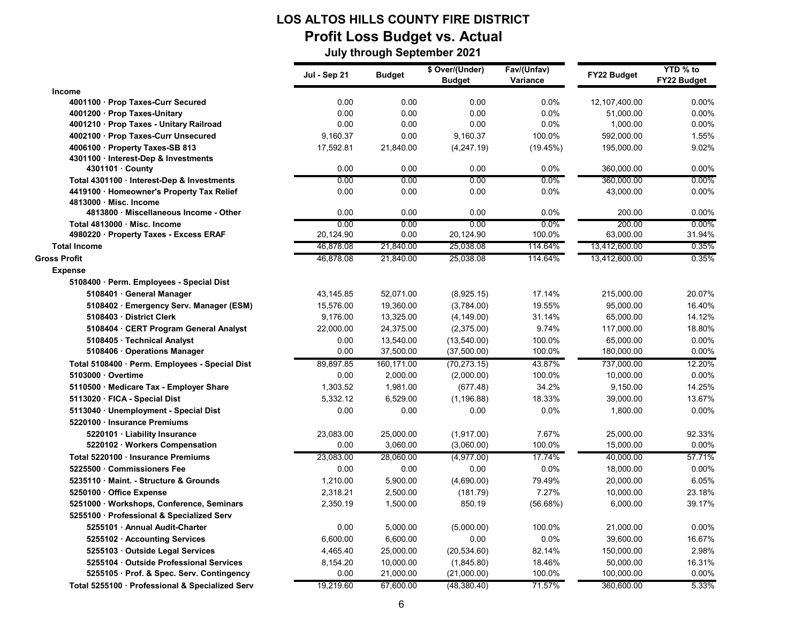### **LOS ALTOS HILLS COUNTY FIRE DISTRICT Profit Loss Budget vs. Actual July through September 2021**

|                                                                      | Jul - Sep 21      | <b>Budget</b> | \$ Over/(Under)<br><b>Budget</b> | Fav/(Unfav)<br>Variance | FY22 Budget         | YTD % to<br>FY22 Budget |
|----------------------------------------------------------------------|-------------------|---------------|----------------------------------|-------------------------|---------------------|-------------------------|
| <b>Income</b>                                                        |                   |               |                                  |                         |                     |                         |
| 4001100 Prop Taxes-Curr Secured                                      | 0.00              | 0.00          | 0.00                             | 0.0%                    | 12,107,400.00       | 0.00%                   |
| 4001200 · Prop Taxes-Unitary                                         | 0.00              | 0.00          | 0.00                             | 0.0%                    | 51,000.00           | 0.00%                   |
| 4001210 · Prop Taxes - Unitary Railroad                              | 0.00              | 0.00          | 0.00                             | 0.0%                    | 1,000.00            | 0.00%                   |
| 4002100 Prop Taxes-Curr Unsecured                                    | 9,160.37          | 0.00          | 9,160.37                         | 100.0%                  | 592,000.00          | 1.55%                   |
| 4006100 · Property Taxes-SB 813                                      | 17,592.81         | 21,840.00     | (4, 247.19)                      | (19.45%)                | 195,000.00          | 9.02%                   |
| 4301100 Interest-Dep & Investments                                   |                   |               |                                  |                         |                     |                         |
| 4301101 · County                                                     | 0.00              | 0.00          | 0.00                             | 0.0%                    | 360,000.00          | 0.00%                   |
| Total 4301100 · Interest-Dep & Investments                           | 0.00              | 0.00          | 0.00                             | $0.0\%$                 | 360,000.00          | $0.00\%$                |
| 4419100 · Homeowner's Property Tax Relief                            | 0.00              | 0.00          | 0.00                             | 0.0%                    | 43,000.00           | 0.00%                   |
| 4813000 Misc. Income                                                 |                   |               |                                  |                         |                     |                         |
| 4813800 · Miscellaneous Income - Other                               | 0.00              | 0.00          | 0.00                             | 0.0%                    | 200.00              | 0.00%                   |
| Total 4813000 Misc. Income<br>4980220 · Property Taxes - Excess ERAF | 0.00<br>20,124.90 | 0.00<br>0.00  | 0.00<br>20,124.90                | $0.0\%$<br>100.0%       | 200.00<br>63,000.00 | $0.00\%$<br>31.94%      |
| <b>Total Income</b>                                                  | 46,878.08         | 21,840.00     | 25,038.08                        | 114.64%                 | 13,412,600.00       | 0.35%                   |
|                                                                      |                   |               |                                  |                         |                     |                         |
| <b>Gross Profit</b>                                                  | 46,878.08         | 21,840.00     | 25,038.08                        | 114.64%                 | 13,412,600.00       | 0.35%                   |
| <b>Expense</b>                                                       |                   |               |                                  |                         |                     |                         |
| 5108400 · Perm. Employees - Special Dist                             |                   |               |                                  |                         |                     |                         |
| 5108401 · General Manager                                            | 43,145.85         | 52,071.00     | (8,925.15)                       | 17.14%                  | 215,000.00          | 20.07%                  |
| 5108402 · Emergency Serv. Manager (ESM)                              | 15,576.00         | 19,360.00     | (3,784.00)                       | 19.55%                  | 95,000.00           | 16.40%                  |
| 5108403 · District Clerk                                             | 9,176.00          | 13,325.00     | (4, 149.00)                      | 31.14%                  | 65,000.00           | 14.12%                  |
| 5108404 · CERT Program General Analyst                               | 22,000.00         | 24,375.00     | (2,375.00)                       | 9.74%                   | 117,000.00          | 18.80%                  |
| 5108405 · Technical Analyst                                          | 0.00              | 13,540.00     | (13,540.00)                      | 100.0%                  | 65,000.00           | 0.00%                   |
| 5108406 · Operations Manager                                         | 0.00              | 37,500.00     | (37,500.00)                      | 100.0%                  | 180,000.00          | 0.00%                   |
| Total 5108400 · Perm. Employees - Special Dist                       | 89,897.85         | 160,171.00    | (70, 273.15)                     | 43.87%                  | 737,000.00          | 12.20%                  |
| 5103000 · Overtime                                                   | 0.00              | 2,000.00      | (2,000.00)                       | 100.0%                  | 10,000.00           | 0.00%                   |
| 5110500 · Medicare Tax - Employer Share                              | 1,303.52          | 1,981.00      | (677.48)                         | 34.2%                   | 9,150.00            | 14.25%                  |
| 5113020 · FICA - Special Dist                                        | 5,332.12          | 6,529.00      | (1, 196.88)                      | 18.33%                  | 39,000.00           | 13.67%                  |
| 5113040 · Unemployment - Special Dist                                | 0.00              | 0.00          | 0.00                             | 0.0%                    | 1,800.00            | 0.00%                   |
| 5220100 · Insurance Premiums                                         |                   |               |                                  |                         |                     |                         |
| 5220101 · Liability Insurance                                        | 23,083.00         | 25,000.00     | (1,917.00)                       | 7.67%                   | 25,000.00           | 92.33%                  |
| 5220102 · Workers Compensation                                       | 0.00              | 3,060.00      | (3,060.00)                       | 100.0%                  | 15,000.00           | 0.00%                   |
| Total 5220100 Insurance Premiums                                     | 23,083.00         | 28,060.00     | (4,977.00)                       | 17.74%                  | 40,000.00           | 57.71%                  |
| 5225500 Commissioners Fee                                            | 0.00              | 0.00          | 0.00                             | 0.0%                    | 18,000.00           | 0.00%                   |
| 5235110 Maint. - Structure & Grounds                                 | 1,210.00          | 5,900.00      | (4,690.00)                       | 79.49%                  | 20,000.00           | 6.05%                   |
| 5250100 Office Expense                                               | 2,318.21          | 2,500.00      | (181.79)                         | 7.27%                   | 10,000.00           | 23.18%                  |
| 5251000 · Workshops, Conference, Seminars                            | 2,350.19          | 1,500.00      | 850.19                           | (56.68%)                | 6,000.00            | 39.17%                  |
| 5255100 · Professional & Specialized Serv                            |                   |               |                                  |                         |                     |                         |
| 5255101 · Annual Audit-Charter                                       | 0.00              | 5,000.00      | (5,000.00)                       | 100.0%                  | 21,000.00           | 0.00%                   |
| 5255102 · Accounting Services                                        | 6,600.00          | 6,600.00      | 0.00                             | $0.0\%$                 | 39,600.00           | 16.67%                  |
| 5255103 Outside Legal Services                                       | 4,465.40          | 25,000.00     | (20, 534.60)                     | 82.14%                  | 150,000.00          | 2.98%                   |
| 5255104 Outside Professional Services                                | 8,154.20          | 10,000.00     | (1,845.80)                       | 18.46%                  | 50,000.00           | 16.31%                  |
| 5255105 · Prof. & Spec. Serv. Contingency                            | 0.00              | 21,000.00     | (21,000.00)                      | 100.0%                  | 100,000.00          | 0.00%                   |
| Total 5255100 Professional & Specialized Serv                        | 19,219.60         | 67.600.00     | (48, 380.40)                     | 71.57%                  | 360,600.00          | 5.33%                   |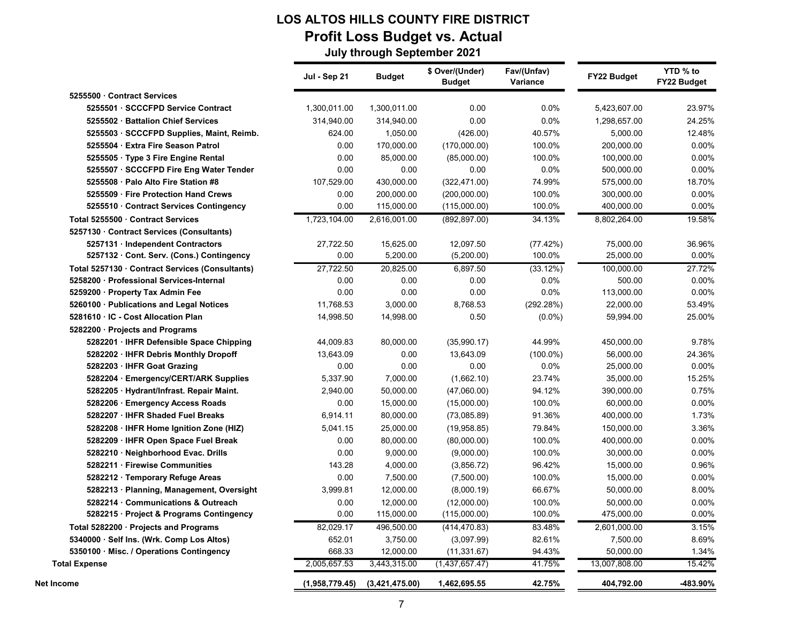### **LOS ALTOS HILLS COUNTY FIRE DISTRICT Profit Loss Budget vs. Actual July through September 2021**

|                                                                            | Jul - Sep 21   | <b>Budget</b>  | \$ Over/(Under)<br><b>Budget</b> | Fav/(Unfav)<br>Variance | FY22 Budget   | YTD % to<br>FY22 Budget |
|----------------------------------------------------------------------------|----------------|----------------|----------------------------------|-------------------------|---------------|-------------------------|
| 5255500 Contract Services                                                  |                |                |                                  |                         |               |                         |
| 5255501 SCCCFPD Service Contract                                           | 1,300,011.00   | 1,300,011.00   | 0.00                             | 0.0%                    | 5,423,607.00  | 23.97%                  |
| 5255502 · Battalion Chief Services                                         | 314,940.00     | 314,940.00     | 0.00                             | 0.0%                    | 1,298,657.00  | 24.25%                  |
| 5255503 · SCCCFPD Supplies, Maint, Reimb.                                  | 624.00         | 1,050.00       | (426.00)                         | 40.57%                  | 5,000.00      | 12.48%                  |
| 5255504 · Extra Fire Season Patrol                                         | 0.00           | 170,000.00     | (170,000.00)                     | 100.0%                  | 200,000.00    | 0.00%                   |
| 5255505 · Type 3 Fire Engine Rental                                        | 0.00           | 85,000.00      | (85,000.00)                      | 100.0%                  | 100,000.00    | 0.00%                   |
| 5255507 · SCCCFPD Fire Eng Water Tender                                    | 0.00           | 0.00           | 0.00                             | 0.0%                    | 500,000.00    | 0.00%                   |
| 5255508 · Palo Alto Fire Station #8                                        | 107,529.00     | 430,000.00     | (322, 471.00)                    | 74.99%                  | 575,000.00    | 18.70%                  |
| 5255509 · Fire Protection Hand Crews                                       | 0.00           | 200,000.00     | (200,000.00)                     | 100.0%                  | 300,000.00    | 0.00%                   |
| 5255510 · Contract Services Contingency                                    | 0.00           | 115,000.00     | (115,000.00)                     | 100.0%                  | 400,000.00    | 0.00%                   |
| Total 5255500 Contract Services<br>5257130 Contract Services (Consultants) | 1,723,104.00   | 2,616,001.00   | (892, 897.00)                    | 34.13%                  | 8,802,264.00  | 19.58%                  |
| 5257131 Independent Contractors                                            | 27,722.50      | 15,625.00      | 12,097.50                        | (77.42%)                | 75,000.00     | 36.96%                  |
| 5257132 · Cont. Serv. (Cons.) Contingency                                  | 0.00           | 5,200.00       | (5,200.00)                       | 100.0%                  | 25,000.00     | $0.00\%$                |
| Total 5257130 · Contract Services (Consultants)                            | 27,722.50      | 20,825.00      | 6,897.50                         | (33.12%)                | 100,000.00    | 27.72%                  |
| 5258200 Professional Services-Internal                                     | 0.00           | 0.00           | 0.00                             | 0.0%                    | 500.00        | $0.00\%$                |
| 5259200 · Property Tax Admin Fee                                           | 0.00           | 0.00           | 0.00                             | 0.0%                    | 113,000.00    | 0.00%                   |
| 5260100 · Publications and Legal Notices                                   | 11,768.53      | 3,000.00       | 8,768.53                         | (292.28%)               | 22,000.00     | 53.49%                  |
| 5281610 · IC - Cost Allocation Plan                                        | 14,998.50      | 14,998.00      | 0.50                             | $(0.0\%)$               | 59,994.00     | 25.00%                  |
| 5282200 · Projects and Programs                                            |                |                |                                  |                         |               |                         |
| 5282201 · IHFR Defensible Space Chipping                                   | 44,009.83      | 80,000.00      | (35,990.17)                      | 44.99%                  | 450,000.00    | 9.78%                   |
| 5282202 · IHFR Debris Monthly Dropoff                                      | 13,643.09      | 0.00           | 13,643.09                        | $(100.0\%)$             | 56,000.00     | 24.36%                  |
| 5282203 · IHFR Goat Grazing                                                | 0.00           | 0.00           | 0.00                             | 0.0%                    | 25,000.00     | 0.00%                   |
| 5282204 · Emergency/CERT/ARK Supplies                                      | 5,337.90       | 7,000.00       | (1,662.10)                       | 23.74%                  | 35,000.00     | 15.25%                  |
| 5282205 · Hydrant/Infrast. Repair Maint.                                   | 2,940.00       | 50,000.00      | (47,060.00)                      | 94.12%                  | 390,000.00    | 0.75%                   |
| 5282206 · Emergency Access Roads                                           | 0.00           | 15,000.00      | (15,000.00)                      | 100.0%                  | 60,000.00     | 0.00%                   |
| 5282207 · IHFR Shaded Fuel Breaks                                          | 6,914.11       | 80,000.00      | (73,085.89)                      | 91.36%                  | 400,000.00    | 1.73%                   |
| 5282208 · IHFR Home Ignition Zone (HIZ)                                    | 5,041.15       | 25,000.00      | (19,958.85)                      | 79.84%                  | 150,000.00    | 3.36%                   |
| 5282209 · IHFR Open Space Fuel Break                                       | 0.00           | 80,000.00      | (80,000.00)                      | 100.0%                  | 400,000.00    | $0.00\%$                |
| 5282210 · Neighborhood Evac. Drills                                        | 0.00           | 9,000.00       | (9,000.00)                       | 100.0%                  | 30,000.00     | $0.00\%$                |
| 5282211 · Firewise Communities                                             | 143.28         | 4,000.00       | (3,856.72)                       | 96.42%                  | 15,000.00     | 0.96%                   |
| 5282212 · Temporary Refuge Areas                                           | 0.00           | 7,500.00       | (7,500.00)                       | 100.0%                  | 15,000.00     | $0.00\%$                |
| 5282213 · Planning, Management, Oversight                                  | 3,999.81       | 12,000.00      | (8,000.19)                       | 66.67%                  | 50,000.00     | 8.00%                   |
| 5282214 Communications & Outreach                                          | 0.00           | 12,000.00      | (12,000.00)                      | 100.0%                  | 50,000.00     | $0.00\%$                |
| 5282215 · Project & Programs Contingency                                   | 0.00           | 115,000.00     | (115,000.00)                     | 100.0%                  | 475,000.00    | 0.00%                   |
| Total 5282200 · Projects and Programs                                      | 82,029.17      | 496,500.00     | (414, 470.83)                    | 83.48%                  | 2,601,000.00  | 3.15%                   |
| 5340000 · Self Ins. (Wrk. Comp Los Altos)                                  | 652.01         | 3,750.00       | (3,097.99)                       | 82.61%                  | 7,500.00      | 8.69%                   |
| 5350100 · Misc. / Operations Contingency                                   | 668.33         | 12,000.00      | (11, 331.67)                     | 94.43%                  | 50,000.00     | 1.34%                   |
| <b>Total Expense</b>                                                       | 2,005,657.53   | 3,443,315.00   | (1,437,657.47)                   | 41.75%                  | 13,007,808.00 | 15.42%                  |
| Net Income                                                                 | (1,958,779.45) | (3,421,475.00) | 1,462,695.55                     | 42.75%                  | 404,792.00    | -483.90%                |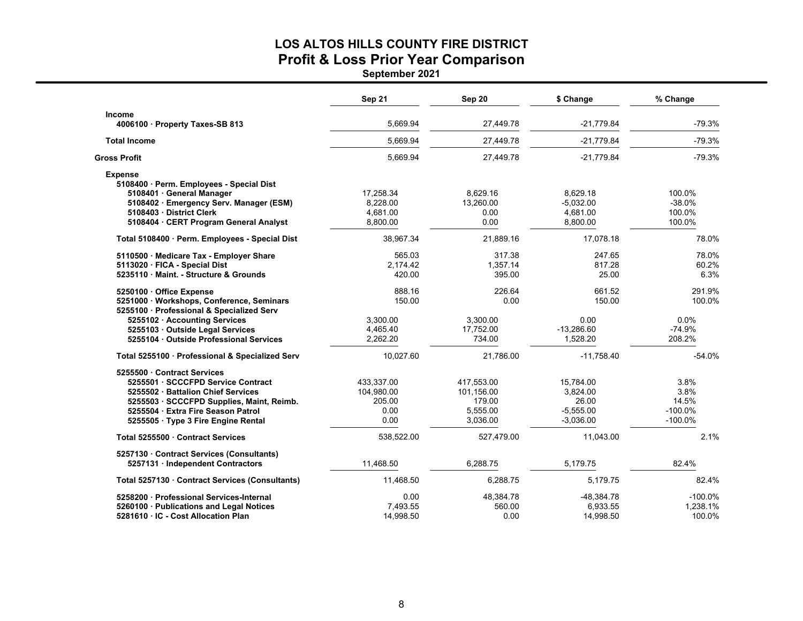### **LOS ALTOS HILLS COUNTY FIRE DISTRICT Profit & Loss Prior Year Comparison**

|                                                                                                                                                                                                                             | Sep 21                                             | <b>Sep 20</b>                                              | \$ Change                                                    | % Change                                         |
|-----------------------------------------------------------------------------------------------------------------------------------------------------------------------------------------------------------------------------|----------------------------------------------------|------------------------------------------------------------|--------------------------------------------------------------|--------------------------------------------------|
| Income<br>4006100 · Property Taxes-SB 813                                                                                                                                                                                   | 5,669.94                                           | 27,449.78                                                  | $-21,779.84$                                                 | $-79.3%$                                         |
| <b>Total Income</b>                                                                                                                                                                                                         | 5,669.94                                           | 27,449.78                                                  | $-21,779.84$                                                 | $-79.3%$                                         |
| <b>Gross Profit</b>                                                                                                                                                                                                         | 5,669.94                                           | 27,449.78                                                  | $-21,779.84$                                                 | $-79.3%$                                         |
| <b>Expense</b><br>5108400 · Perm. Employees - Special Dist<br>5108401 · General Manager<br>5108402 · Emergency Serv. Manager (ESM)<br>5108403 District Clerk<br>5108404 · CERT Program General Analyst                      | 17,258.34<br>8,228.00<br>4,681.00<br>8,800.00      | 8,629.16<br>13,260.00<br>0.00<br>0.00                      | 8,629.18<br>$-5,032.00$<br>4,681.00<br>8,800.00              | 100.0%<br>$-38.0%$<br>100.0%<br>100.0%           |
| Total 5108400 · Perm. Employees - Special Dist                                                                                                                                                                              | 38,967.34                                          | 21,889.16                                                  | 17,078.18                                                    | 78.0%                                            |
| 5110500 Medicare Tax - Employer Share<br>5113020 · FICA - Special Dist<br>5235110 Maint. - Structure & Grounds                                                                                                              | 565.03<br>2,174.42<br>420.00                       | 317.38<br>1,357.14<br>395.00                               | 247.65<br>817.28<br>25.00                                    | 78.0%<br>60.2%<br>6.3%                           |
| 5250100 Office Expense<br>5251000 · Workshops, Conference, Seminars<br>5255100 · Professional & Specialized Serv                                                                                                            | 888.16<br>150.00                                   | 226.64<br>0.00                                             | 661.52<br>150.00                                             | 291.9%<br>100.0%                                 |
| 5255102 · Accounting Services<br>5255103 Outside Legal Services<br>5255104 · Outside Professional Services                                                                                                                  | 3,300.00<br>4,465.40<br>2,262.20                   | 3,300.00<br>17,752.00<br>734.00                            | 0.00<br>$-13,286.60$<br>1,528.20                             | 0.0%<br>$-74.9%$<br>208.2%                       |
| Total 5255100 · Professional & Specialized Serv                                                                                                                                                                             | 10,027.60                                          | 21,786.00                                                  | $-11,758.40$                                                 | $-54.0%$                                         |
| 5255500 Contract Services<br>5255501 SCCCFPD Service Contract<br>5255502 Battalion Chief Services<br>5255503 · SCCCFPD Supplies, Maint, Reimb.<br>5255504 · Extra Fire Season Patrol<br>5255505 · Type 3 Fire Engine Rental | 433,337.00<br>104,980.00<br>205.00<br>0.00<br>0.00 | 417,553.00<br>101,156.00<br>179.00<br>5,555.00<br>3,036.00 | 15,784.00<br>3,824.00<br>26.00<br>$-5,555.00$<br>$-3,036.00$ | 3.8%<br>3.8%<br>14.5%<br>$-100.0\%$<br>$-100.0%$ |
| Total 5255500 Contract Services                                                                                                                                                                                             | 538,522.00                                         | 527,479.00                                                 | 11,043.00                                                    | 2.1%                                             |
| 5257130 Contract Services (Consultants)<br>5257131 Independent Contractors                                                                                                                                                  | 11,468.50                                          | 6,288.75                                                   | 5,179.75                                                     | 82.4%                                            |
| Total 5257130 · Contract Services (Consultants)                                                                                                                                                                             | 11,468.50                                          | 6,288.75                                                   | 5,179.75                                                     | 82.4%                                            |
| 5258200 Professional Services-Internal<br>5260100 · Publications and Legal Notices<br>5281610 · IC - Cost Allocation Plan                                                                                                   | 0.00<br>7,493.55<br>14,998.50                      | 48,384.78<br>560.00<br>0.00                                | -48.384.78<br>6,933.55<br>14,998.50                          | $-100.0\%$<br>1,238.1%<br>100.0%                 |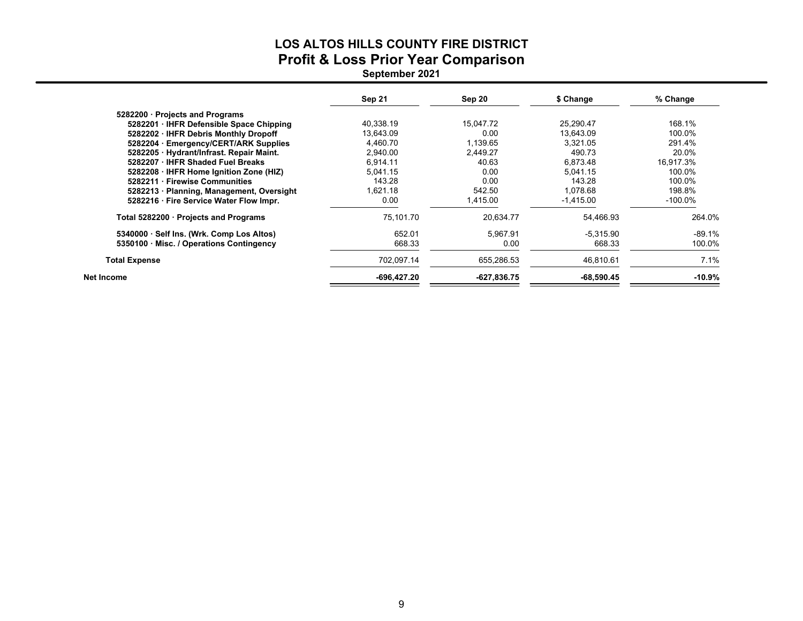# **LOS ALTOS HILLS COUNTY FIRE DISTRICTProfit & Loss Prior Year Comparison**

|                                           | Sep 21      | Sep 20      | \$ Change    | % Change  |
|-------------------------------------------|-------------|-------------|--------------|-----------|
| 5282200 Projects and Programs             |             |             |              |           |
| 5282201 · IHFR Defensible Space Chipping  | 40,338.19   | 15.047.72   | 25,290.47    | 168.1%    |
| 5282202 · IHFR Debris Monthly Dropoff     | 13.643.09   | 0.00        | 13.643.09    | 100.0%    |
| 5282204 Emergency/CERT/ARK Supplies       | 4,460.70    | 1,139.65    | 3.321.05     | 291.4%    |
| 5282205 Hydrant/Infrast. Repair Maint.    | 2.940.00    | 2.449.27    | 490.73       | 20.0%     |
| 5282207 · IHFR Shaded Fuel Breaks         | 6.914.11    | 40.63       | 6.873.48     | 16.917.3% |
| 5282208 · IHFR Home Ignition Zone (HIZ)   | 5.041.15    | 0.00        | 5.041.15     | 100.0%    |
| 5282211 · Firewise Communities            | 143.28      | 0.00        | 143.28       | 100.0%    |
| 5282213 · Planning, Management, Oversight | 1.621.18    | 542.50      | 1.078.68     | 198.8%    |
| 5282216 Fire Service Water Flow Impr.     | 0.00        | 1,415.00    | $-1,415.00$  | -100.0%   |
| Total 5282200 Projects and Programs       | 75.101.70   | 20,634.77   | 54,466.93    | 264.0%    |
| 5340000 · Self Ins. (Wrk. Comp Los Altos) | 652.01      | 5.967.91    | -5.315.90    | $-89.1%$  |
| 5350100 Misc. / Operations Contingency    | 668.33      | 0.00        | 668.33       | 100.0%    |
| <b>Total Expense</b>                      | 702,097.14  | 655,286.53  | 46,810.61    | 7.1%      |
| Net Income                                | -696,427.20 | -627,836.75 | $-68,590.45$ | -10.9%    |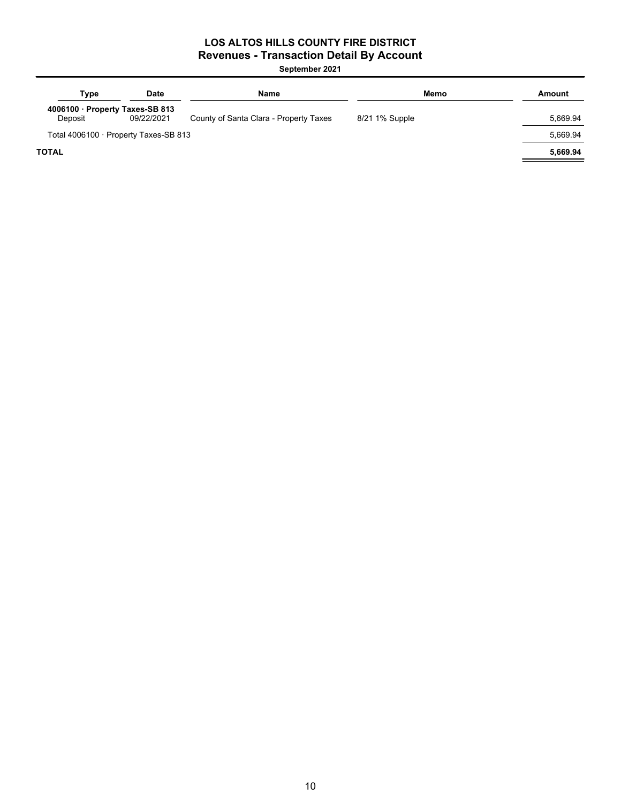### **LOS ALTOS HILLS COUNTY FIRE DISTRICT Revenues - Transaction Detail By Account**

| Type                                     | <b>Date</b> | <b>Name</b>                            | Memo           | Amount   |
|------------------------------------------|-------------|----------------------------------------|----------------|----------|
| 4006100 Property Taxes-SB 813<br>Deposit | 09/22/2021  | County of Santa Clara - Property Taxes | 8/21 1% Supple | 5,669.94 |
| Total 4006100 · Property Taxes-SB 813    |             |                                        |                | 5.669.94 |
| <b>TOTAL</b>                             |             |                                        |                | 5,669.94 |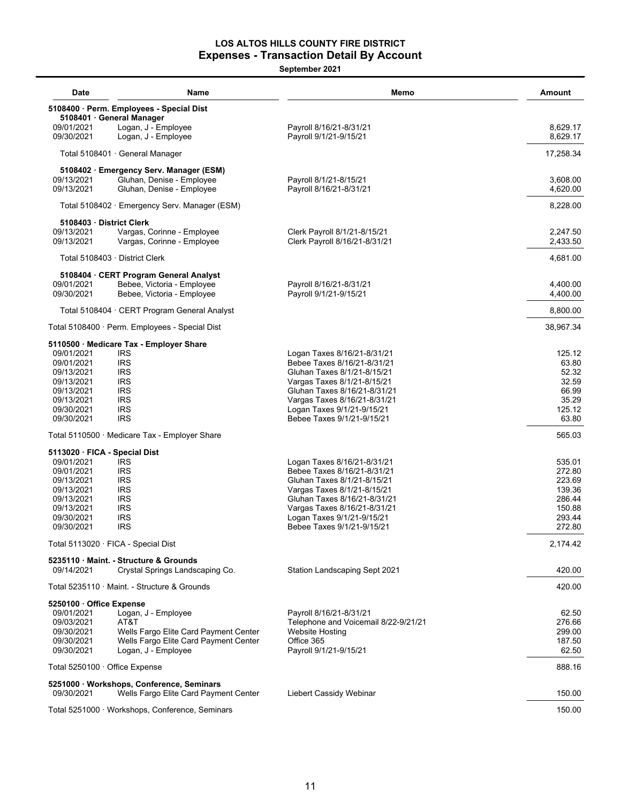### **LOS ALTOS HILLS COUNTY FIRE DISTRICT Expenses - Transaction Detail By Account**

| <b>Date</b>                    | Name                                                                               | Memo                                                          | Amount               |
|--------------------------------|------------------------------------------------------------------------------------|---------------------------------------------------------------|----------------------|
|                                | 5108400 · Perm. Employees - Special Dist                                           |                                                               |                      |
| 09/01/2021                     | 5108401 · General Manager                                                          |                                                               |                      |
| 09/30/2021                     | Logan, J - Employee<br>Logan, J - Employee                                         | Payroll 8/16/21-8/31/21<br>Payroll 9/1/21-9/15/21             | 8,629.17<br>8,629.17 |
|                                | Total 5108401 · General Manager                                                    |                                                               | 17,258.34            |
|                                | 5108402 · Emergency Serv. Manager (ESM)                                            |                                                               |                      |
| 09/13/2021<br>09/13/2021       | Gluhan, Denise - Employee<br>Gluhan, Denise - Employee                             | Payroll 8/1/21-8/15/21<br>Payroll 8/16/21-8/31/21             | 3,608.00<br>4,620.00 |
|                                | Total 5108402 · Emergency Serv. Manager (ESM)                                      |                                                               | 8,228.00             |
| 5108403 District Clerk         |                                                                                    |                                                               |                      |
| 09/13/2021<br>09/13/2021       | Vargas, Corinne - Employee<br>Vargas, Corinne - Employee                           | Clerk Payroll 8/1/21-8/15/21<br>Clerk Payroll 8/16/21-8/31/21 | 2,247.50<br>2,433.50 |
|                                | Total 5108403 · District Clerk                                                     |                                                               | 4,681.00             |
|                                | 5108404 · CERT Program General Analyst                                             |                                                               |                      |
| 09/01/2021<br>09/30/2021       | Bebee, Victoria - Employee<br>Bebee, Victoria - Employee                           | Payroll 8/16/21-8/31/21<br>Payroll 9/1/21-9/15/21             | 4,400.00<br>4,400.00 |
|                                | Total 5108404 · CERT Program General Analyst                                       |                                                               | 8,800.00             |
|                                | Total 5108400 · Perm. Employees - Special Dist                                     |                                                               | 38,967.34            |
|                                | 5110500 · Medicare Tax - Employer Share                                            |                                                               |                      |
| 09/01/2021                     | <b>IRS</b>                                                                         | Logan Taxes 8/16/21-8/31/21                                   | 125.12               |
| 09/01/2021                     | <b>IRS</b><br><b>IRS</b>                                                           | Bebee Taxes 8/16/21-8/31/21                                   | 63.80                |
| 09/13/2021<br>09/13/2021       | <b>IRS</b>                                                                         | Gluhan Taxes 8/1/21-8/15/21<br>Vargas Taxes 8/1/21-8/15/21    | 52.32<br>32.59       |
| 09/13/2021                     | <b>IRS</b>                                                                         | Gluhan Taxes 8/16/21-8/31/21                                  | 66.99                |
| 09/13/2021                     | <b>IRS</b>                                                                         | Vargas Taxes 8/16/21-8/31/21                                  | 35.29                |
| 09/30/2021                     | <b>IRS</b>                                                                         | Logan Taxes 9/1/21-9/15/21                                    | 125.12               |
| 09/30/2021                     | <b>IRS</b>                                                                         | Bebee Taxes 9/1/21-9/15/21                                    | 63.80                |
|                                | Total 5110500 · Medicare Tax - Employer Share                                      |                                                               | 565.03               |
| 5113020 · FICA - Special Dist  |                                                                                    |                                                               |                      |
| 09/01/2021                     | <b>IRS</b>                                                                         | Logan Taxes 8/16/21-8/31/21                                   | 535.01               |
| 09/01/2021                     | <b>IRS</b>                                                                         | Bebee Taxes 8/16/21-8/31/21                                   | 272.80               |
| 09/13/2021<br>09/13/2021       | <b>IRS</b><br><b>IRS</b>                                                           | Gluhan Taxes 8/1/21-8/15/21<br>Vargas Taxes 8/1/21-8/15/21    | 223.69<br>139.36     |
| 09/13/2021                     | <b>IRS</b>                                                                         | Gluhan Taxes 8/16/21-8/31/21                                  | 286.44               |
| 09/13/2021                     | <b>IRS</b>                                                                         | Vargas Taxes 8/16/21-8/31/21                                  | 150.88               |
| 09/30/2021                     | <b>IRS</b>                                                                         | Logan Taxes 9/1/21-9/15/21                                    | 293.44               |
| 09/30/2021                     | <b>IRS</b>                                                                         | Bebee Taxes 9/1/21-9/15/21                                    | 272.80               |
|                                | Total 5113020 · FICA - Special Dist                                                |                                                               | 2,174.42             |
|                                | 5235110 Maint. - Structure & Grounds                                               |                                                               |                      |
| 09/14/2021                     | Crystal Springs Landscaping Co.                                                    | Station Landscaping Sept 2021                                 | 420.00               |
|                                | Total 5235110 · Maint. - Structure & Grounds                                       |                                                               | 420.00               |
| 5250100 · Office Expense       |                                                                                    | Payroll 8/16/21-8/31/21                                       | 62.50                |
| 09/01/2021<br>09/03/2021       | Logan, J - Employee<br>AT&T                                                        | Telephone and Voicemail 8/22-9/21/21                          | 276.66               |
| 09/30/2021                     | Wells Fargo Elite Card Payment Center                                              | Website Hosting                                               | 299.00               |
| 09/30/2021                     | Wells Fargo Elite Card Payment Center                                              | Office 365                                                    | 187.50               |
| 09/30/2021                     | Logan, J - Employee                                                                | Payroll 9/1/21-9/15/21                                        | 62.50                |
| Total 5250100 · Office Expense |                                                                                    |                                                               | 888.16               |
| 09/30/2021                     | 5251000 · Workshops, Conference, Seminars<br>Wells Fargo Elite Card Payment Center | Liebert Cassidy Webinar                                       | 150.00               |
|                                | Total 5251000 · Workshops, Conference, Seminars                                    |                                                               | 150.00               |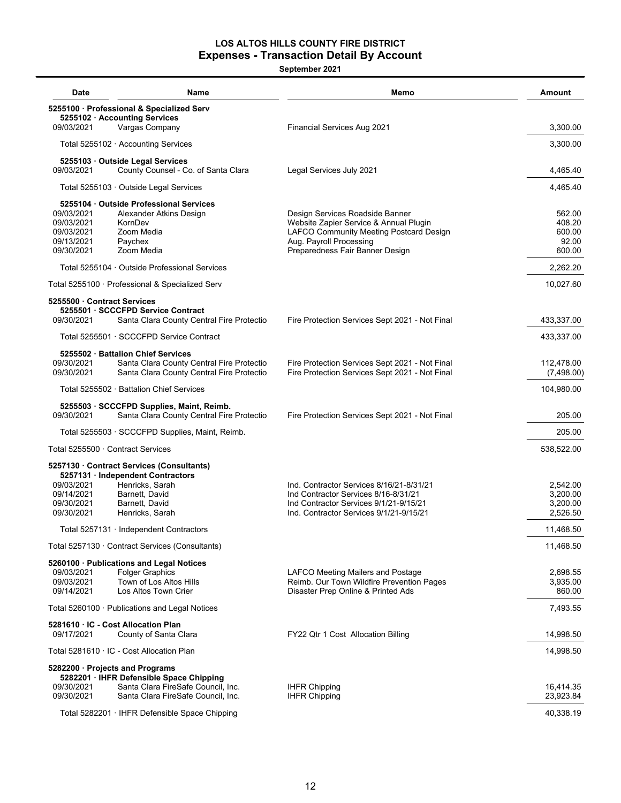#### **LOS ALTOS HILLS COUNTY FIRE DISTRICT Expenses - Transaction Detail By Account**

| Date                                                               | Name                                                                                                                         | Memo                                                                                                                                                                               | Amount                                        |
|--------------------------------------------------------------------|------------------------------------------------------------------------------------------------------------------------------|------------------------------------------------------------------------------------------------------------------------------------------------------------------------------------|-----------------------------------------------|
|                                                                    | 5255100 · Professional & Specialized Serv<br>5255102 · Accounting Services                                                   |                                                                                                                                                                                    |                                               |
| 09/03/2021                                                         | Vargas Company                                                                                                               | <b>Financial Services Aug 2021</b>                                                                                                                                                 | 3,300.00                                      |
|                                                                    | Total 5255102 · Accounting Services                                                                                          |                                                                                                                                                                                    | 3,300.00                                      |
| 09/03/2021                                                         | 5255103 Outside Legal Services<br>County Counsel - Co. of Santa Clara                                                        | Legal Services July 2021                                                                                                                                                           | 4,465.40                                      |
|                                                                    | Total 5255103 · Outside Legal Services                                                                                       |                                                                                                                                                                                    | 4.465.40                                      |
| 09/03/2021<br>09/03/2021<br>09/03/2021<br>09/13/2021<br>09/30/2021 | 5255104 Outside Professional Services<br>Alexander Atkins Design<br>KornDev<br>Zoom Media<br>Paychex<br>Zoom Media           | Design Services Roadside Banner<br>Website Zapier Service & Annual Plugin<br>LAFCO Community Meeting Postcard Design<br>Aug. Payroll Processing<br>Preparedness Fair Banner Design | 562.00<br>408.20<br>600.00<br>92.00<br>600.00 |
|                                                                    | Total 5255104 Outside Professional Services                                                                                  |                                                                                                                                                                                    | 2,262.20                                      |
|                                                                    | Total 5255100 · Professional & Specialized Serv                                                                              |                                                                                                                                                                                    | 10,027.60                                     |
| 5255500 Contract Services<br>09/30/2021                            | 5255501 · SCCCFPD Service Contract<br>Santa Clara County Central Fire Protectio                                              | Fire Protection Services Sept 2021 - Not Final                                                                                                                                     | 433,337.00                                    |
|                                                                    | Total 5255501 · SCCCFPD Service Contract                                                                                     |                                                                                                                                                                                    | 433,337.00                                    |
| 09/30/2021<br>09/30/2021                                           | 5255502 · Battalion Chief Services<br>Santa Clara County Central Fire Protectio<br>Santa Clara County Central Fire Protectio | Fire Protection Services Sept 2021 - Not Final<br>Fire Protection Services Sept 2021 - Not Final                                                                                   | 112.478.00<br>(7,498.00)                      |
|                                                                    | Total 5255502 · Battalion Chief Services                                                                                     |                                                                                                                                                                                    | 104,980.00                                    |
| 09/30/2021                                                         | 5255503 · SCCCFPD Supplies, Maint, Reimb.<br>Santa Clara County Central Fire Protectio                                       | Fire Protection Services Sept 2021 - Not Final                                                                                                                                     | 205.00                                        |
|                                                                    | Total 5255503 · SCCCFPD Supplies, Maint, Reimb.                                                                              |                                                                                                                                                                                    | 205.00                                        |
|                                                                    | Total 5255500 · Contract Services                                                                                            |                                                                                                                                                                                    | 538,522.00                                    |
|                                                                    | 5257130 · Contract Services (Consultants)<br>5257131 · Independent Contractors                                               |                                                                                                                                                                                    |                                               |
| 09/03/2021<br>09/14/2021<br>09/30/2021<br>09/30/2021               | Henricks, Sarah<br>Barnett, David<br>Barnett, David<br>Henricks, Sarah                                                       | Ind. Contractor Services 8/16/21-8/31/21<br>Ind Contractor Services 8/16-8/31/21<br>Ind Contractor Services 9/1/21-9/15/21<br>Ind. Contractor Services 9/1/21-9/15/21              | 2,542.00<br>3,200.00<br>3,200.00<br>2,526.50  |
|                                                                    | Total 5257131 · Independent Contractors                                                                                      |                                                                                                                                                                                    | 11,468.50                                     |
| Total $5257130 \cdot$ Contract Services (Consultants)              | 11,468.50                                                                                                                    |                                                                                                                                                                                    |                                               |
| 09/03/2021<br>09/03/2021<br>09/14/2021                             | 5260100 · Publications and Legal Notices<br><b>Folger Graphics</b><br>Town of Los Altos Hills<br>Los Altos Town Crier        | LAFCO Meeting Mailers and Postage<br>Reimb. Our Town Wildfire Prevention Pages<br>Disaster Prep Online & Printed Ads                                                               | 2,698.55<br>3,935.00<br>860.00                |
|                                                                    | Total 5260100 · Publications and Legal Notices                                                                               |                                                                                                                                                                                    | 7,493.55                                      |
|                                                                    | 5281610 · IC - Cost Allocation Plan                                                                                          |                                                                                                                                                                                    |                                               |
| 09/17/2021                                                         | County of Santa Clara                                                                                                        | FY22 Qtr 1 Cost Allocation Billing                                                                                                                                                 | 14,998.50                                     |
| Total 5281610 · IC - Cost Allocation Plan                          | 14,998.50                                                                                                                    |                                                                                                                                                                                    |                                               |
| 09/30/2021                                                         | 5282200 · Projects and Programs<br>5282201 · IHFR Defensible Space Chipping<br>Santa Clara FireSafe Council, Inc.            | <b>IHFR Chipping</b>                                                                                                                                                               | 16,414.35                                     |
| 09/30/2021                                                         | Santa Clara FireSafe Council, Inc.                                                                                           | <b>IHFR Chipping</b>                                                                                                                                                               | 23,923.84                                     |
|                                                                    | Total 5282201 · IHFR Defensible Space Chipping                                                                               |                                                                                                                                                                                    | 40,338.19                                     |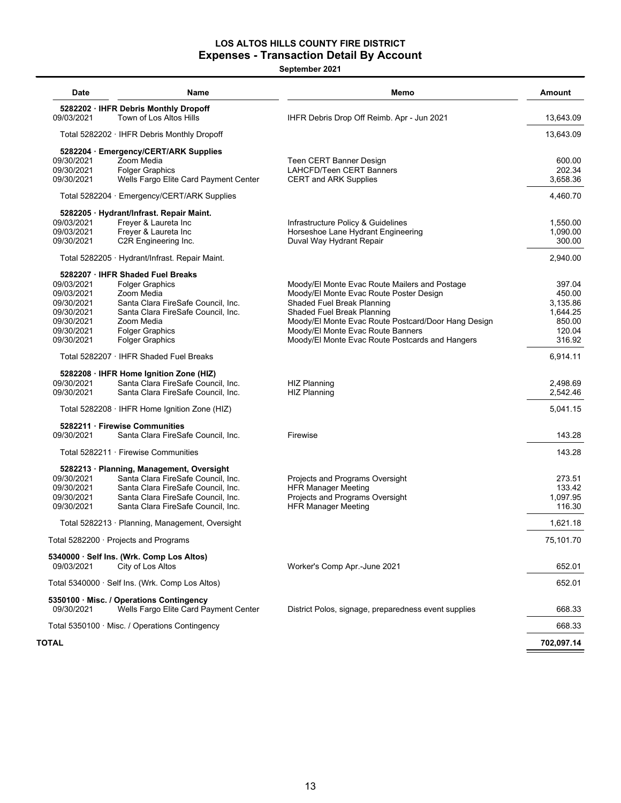#### **LOS ALTOS HILLS COUNTY FIRE DISTRICT Expenses - Transaction Detail By Account**

| <b>Date</b>                                     | Name                                                                              | Memo                                                                              | Amount             |
|-------------------------------------------------|-----------------------------------------------------------------------------------|-----------------------------------------------------------------------------------|--------------------|
| 09/03/2021                                      | 5282202 · IHFR Debris Monthly Dropoff<br>Town of Los Altos Hills                  | IHFR Debris Drop Off Reimb. Apr - Jun 2021                                        | 13,643.09          |
|                                                 | Total 5282202 · IHFR Debris Monthly Dropoff                                       |                                                                                   | 13,643.09          |
|                                                 | 5282204 · Emergency/CERT/ARK Supplies                                             |                                                                                   |                    |
| 09/30/2021                                      | Zoom Media                                                                        | Teen CERT Banner Design                                                           | 600.00             |
| 09/30/2021                                      | <b>Folger Graphics</b>                                                            | <b>LAHCFD/Teen CERT Banners</b>                                                   | 202.34             |
| 09/30/2021                                      | Wells Fargo Elite Card Payment Center                                             | <b>CERT and ARK Supplies</b>                                                      | 3,658.36           |
|                                                 | Total 5282204 · Emergency/CERT/ARK Supplies                                       |                                                                                   | 4,460.70           |
|                                                 | 5282205 · Hydrant/Infrast. Repair Maint.                                          |                                                                                   |                    |
| 09/03/2021                                      | Freyer & Laureta Inc                                                              | Infrastructure Policy & Guidelines                                                | 1,550.00           |
| 09/03/2021                                      | Freyer & Laureta Inc                                                              | Horseshoe Lane Hydrant Engineering                                                | 1,090.00           |
| 09/30/2021                                      | C2R Engineering Inc.                                                              | Duval Way Hydrant Repair                                                          | 300.00             |
|                                                 | Total 5282205 · Hydrant/Infrast. Repair Maint.                                    |                                                                                   | 2,940.00           |
|                                                 | 5282207 · IHFR Shaded Fuel Breaks                                                 |                                                                                   |                    |
| 09/03/2021                                      | <b>Folger Graphics</b>                                                            | Moody/El Monte Evac Route Mailers and Postage                                     | 397.04             |
| 09/03/2021                                      | Zoom Media                                                                        | Moody/El Monte Evac Route Poster Design                                           | 450.00             |
| 09/30/2021                                      | Santa Clara FireSafe Council, Inc.                                                | Shaded Fuel Break Planning                                                        | 3,135.86           |
| 09/30/2021                                      | Santa Clara FireSafe Council, Inc.<br>Zoom Media                                  | Shaded Fuel Break Planning<br>Moody/El Monte Evac Route Postcard/Door Hang Design | 1,644.25<br>850.00 |
| 09/30/2021                                      | <b>Folger Graphics</b>                                                            | Moody/El Monte Evac Route Banners                                                 | 120.04             |
| 09/30/2021<br>09/30/2021                        | <b>Folger Graphics</b>                                                            | Moody/El Monte Evac Route Postcards and Hangers                                   | 316.92             |
|                                                 | Total 5282207 · IHFR Shaded Fuel Breaks                                           |                                                                                   | 6,914.11           |
|                                                 | 5282208 · IHFR Home Ignition Zone (HIZ)                                           |                                                                                   |                    |
| 09/30/2021                                      | Santa Clara FireSafe Council, Inc.                                                | <b>HIZ Planning</b>                                                               | 2,498.69           |
| 09/30/2021                                      | Santa Clara FireSafe Council, Inc.                                                | <b>HIZ Planning</b>                                                               | 2,542.46           |
|                                                 | Total 5282208 $\cdot$ IHFR Home Ignition Zone (HIZ)                               |                                                                                   | 5,041.15           |
|                                                 | 5282211 Firewise Communities                                                      |                                                                                   |                    |
| 09/30/2021                                      | Santa Clara FireSafe Council, Inc.                                                | Firewise                                                                          | 143.28             |
|                                                 | Total 5282211 · Firewise Communities                                              |                                                                                   | 143.28             |
|                                                 | 5282213 · Planning, Management, Oversight                                         |                                                                                   |                    |
| 09/30/2021                                      | Santa Clara FireSafe Council, Inc.                                                | Projects and Programs Oversight                                                   | 273.51             |
| 09/30/2021                                      | Santa Clara FireSafe Council. Inc.                                                | <b>HFR Manager Meeting</b>                                                        | 133.42             |
| 09/30/2021                                      | Santa Clara FireSafe Council, Inc.                                                | Projects and Programs Oversight                                                   | 1,097.95           |
| 09/30/2021                                      | Santa Clara FireSafe Council, Inc.                                                | <b>HFR Manager Meeting</b>                                                        | 116.30             |
| Total 5282213 · Planning, Management, Oversight |                                                                                   | 1,621.18                                                                          |                    |
|                                                 | Total 5282200 · Projects and Programs                                             |                                                                                   | 75,101.70          |
|                                                 | 5340000 · Self Ins. (Wrk. Comp Los Altos)                                         |                                                                                   |                    |
| 09/03/2021                                      | City of Los Altos                                                                 | Worker's Comp Apr.-June 2021                                                      | 652.01             |
|                                                 | Total 5340000 · Self Ins. (Wrk. Comp Los Altos)                                   |                                                                                   | 652.01             |
| 09/30/2021                                      | 5350100 · Misc. / Operations Contingency<br>Wells Fargo Elite Card Payment Center | District Polos, signage, preparedness event supplies                              | 668.33             |
|                                                 | Total 5350100 $\cdot$ Misc. / Operations Contingency                              |                                                                                   | 668.33             |
| TOTAL                                           |                                                                                   |                                                                                   | 702,097.14         |
|                                                 |                                                                                   |                                                                                   |                    |